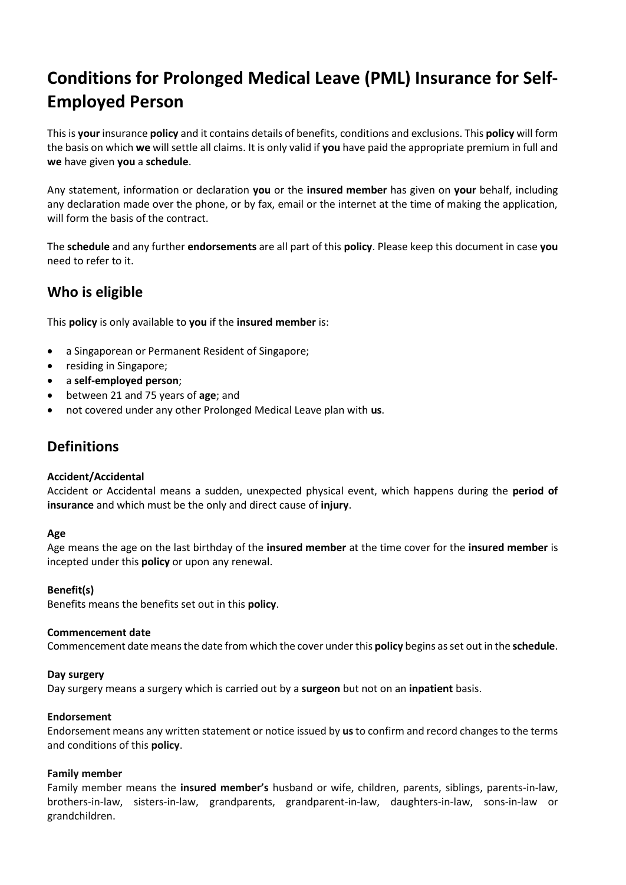# **Conditions for Prolonged Medical Leave (PML) Insurance for Self-Employed Person**

This is **your** insurance **policy** and it contains details of benefits, conditions and exclusions. This **policy** will form the basis on which **we** will settle all claims. It is only valid if **you** have paid the appropriate premium in full and **we** have given **you** a **schedule**.

Any statement, information or declaration **you** or the **insured member** has given on **your** behalf, including any declaration made over the phone, or by fax, email or the internet at the time of making the application, will form the basis of the contract.

The **schedule** and any further **endorsements** are all part of this **policy**. Please keep this document in case **you**  need to refer to it.

# **Who is eligible**

This **policy** is only available to **you** if the **insured member** is:

- a Singaporean or Permanent Resident of Singapore;
- residing in Singapore;
- a **self-employed person**;
- between 21 and 75 years of **age**; and
- not covered under any other Prolonged Medical Leave plan with **us**.

# **Definitions**

### **Accident/Accidental**

Accident or Accidental means a sudden, unexpected physical event, which happens during the **period of insurance** and which must be the only and direct cause of **injury**.

### **Age**

Age means the age on the last birthday of the **insured member** at the time cover for the **insured member** is incepted under this **policy** or upon any renewal.

### **Benefit(s)**

Benefits means the benefits set out in this **policy**.

### **Commencement date**

Commencement date means the date from which the cover under this **policy** begins as set out in the **schedule**.

### **Day surgery**

Day surgery means a surgery which is carried out by a **surgeon** but not on an **inpatient** basis.

### **Endorsement**

Endorsement means any written statement or notice issued by **us** to confirm and record changes to the terms and conditions of this **policy**.

### **Family member**

Family member means the **insured member's** husband or wife, children, parents, siblings, parents-in-law, brothers-in-law, sisters-in-law, grandparents, grandparent-in-law, daughters-in-law, sons-in-law or grandchildren.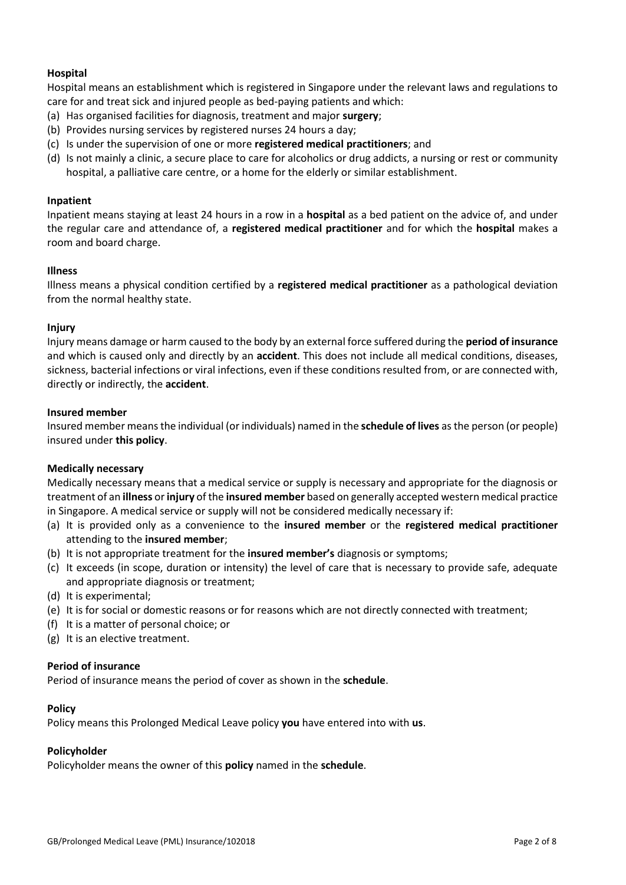# **Hospital**

Hospital means an establishment which is registered in Singapore under the relevant laws and regulations to care for and treat sick and injured people as bed-paying patients and which:

- (a) Has organised facilities for diagnosis, treatment and major **surgery**;
- (b) Provides nursing services by registered nurses 24 hours a day;
- (c) Is under the supervision of one or more **registered medical practitioners**; and
- (d) Is not mainly a clinic, a secure place to care for alcoholics or drug addicts, a nursing or rest or community hospital, a palliative care centre, or a home for the elderly or similar establishment.

### **Inpatient**

Inpatient means staying at least 24 hours in a row in a **hospital** as a bed patient on the advice of, and under the regular care and attendance of, a **registered medical practitioner** and for which the **hospital** makes a room and board charge.

### **Illness**

Illness means a physical condition certified by a **registered medical practitioner** as a pathological deviation from the normal healthy state.

### **Injury**

Injury means damage or harm caused to the body by an external force suffered during the **period of insurance** and which is caused only and directly by an **accident**. This does not include all medical conditions, diseases, sickness, bacterial infections or viral infections, even if these conditions resulted from, or are connected with, directly or indirectly, the **accident**.

### **Insured member**

Insured member means the individual (or individuals) named in the **schedule of lives** as the person (or people) insured under **this policy**.

### **Medically necessary**

Medically necessary means that a medical service or supply is necessary and appropriate for the diagnosis or treatment of an **illness** or **injury** of the **insured member** based on generally accepted western medical practice in Singapore. A medical service or supply will not be considered medically necessary if:

- (a) It is provided only as a convenience to the **insured member** or the **registered medical practitioner** attending to the **insured member**;
- (b) It is not appropriate treatment for the **insured member's** diagnosis or symptoms;
- (c) It exceeds (in scope, duration or intensity) the level of care that is necessary to provide safe, adequate and appropriate diagnosis or treatment;
- (d) It is experimental;
- (e) It is for social or domestic reasons or for reasons which are not directly connected with treatment;
- (f) It is a matter of personal choice; or
- (g) It is an elective treatment.

### **Period of insurance**

Period of insurance means the period of cover as shown in the **schedule**.

### **Policy**

Policy means this Prolonged Medical Leave policy **you** have entered into with **us**.

### **Policyholder**

Policyholder means the owner of this **policy** named in the **schedule**.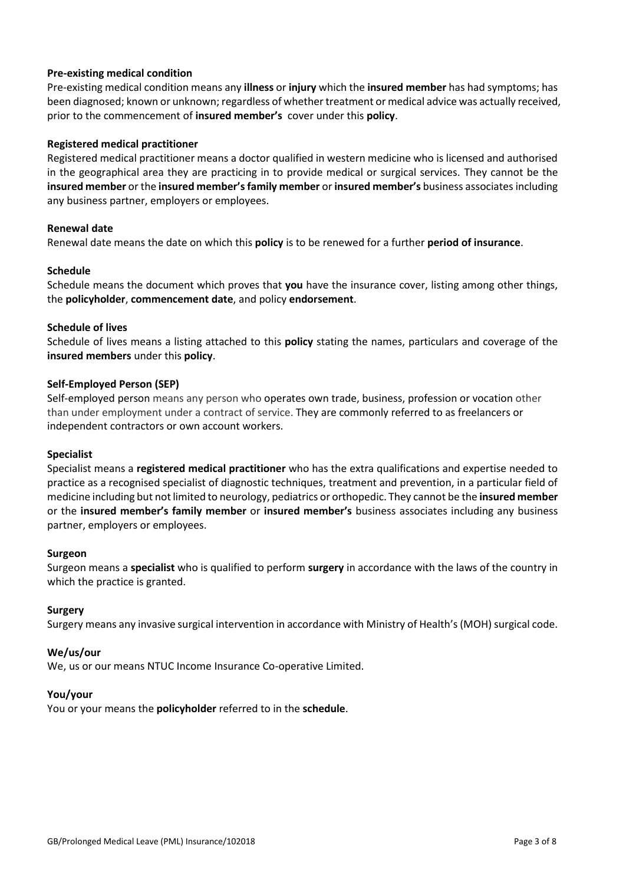### **Pre-existing medical condition**

Pre-existing medical condition means any **illness** or **injury** which the **insured member** has had symptoms; has been diagnosed; known or unknown; regardless of whether treatment or medical advice was actually received, prior to the commencement of **insured member's** cover under this **policy**.

### **Registered medical practitioner**

Registered medical practitioner means a doctor qualified in western medicine who is licensed and authorised in the geographical area they are practicing in to provide medical or surgical services. They cannot be the **insured member** or the **insured member'sfamily member** or **insured member's** business associates including any business partner, employers or employees.

# **Renewal date**

Renewal date means the date on which this **policy** is to be renewed for a further **period of insurance**.

### **Schedule**

Schedule means the document which proves that **you** have the insurance cover, listing among other things, the **policyholder**, **commencement date**, and policy **endorsement**.

# **Schedule of lives**

Schedule of lives means a listing attached to this **policy** stating the names, particulars and coverage of the **insured members** under this **policy**.

# **Self-Employed Person (SEP)**

Self-employed person means any person who operates own trade, business, profession or vocation other than under employment under a contract of service. They are commonly referred to as freelancers or independent contractors or own account workers.

### **Specialist**

Specialist means a **registered medical practitioner** who has the extra qualifications and expertise needed to practice as a recognised specialist of diagnostic techniques, treatment and prevention, in a particular field of medicine including but not limited to neurology, pediatrics or orthopedic. They cannot be the **insured member** or the **insured member's family member** or **insured member's** business associates including any business partner, employers or employees.

### **Surgeon**

Surgeon means a **specialist** who is qualified to perform **surgery** in accordance with the laws of the country in which the practice is granted.

### **Surgery**

Surgery means any invasive surgical intervention in accordance with Ministry of Health's (MOH) surgical code.

### **We/us/our**

We, us or our means NTUC Income Insurance Co-operative Limited.

### **You/your**

You or your means the **policyholder** referred to in the **schedule**.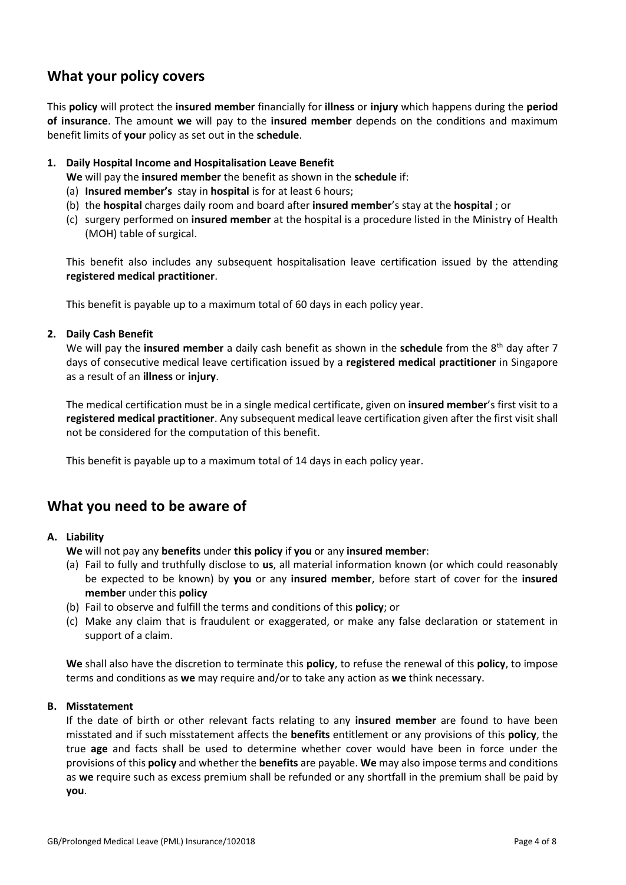# **What your policy covers**

This **policy** will protect the **insured member** financially for **illness** or **injury** which happens during the **period of insurance**. The amount **we** will pay to the **insured member** depends on the conditions and maximum benefit limits of **your** policy as set out in the **schedule**.

# **1. Daily Hospital Income and Hospitalisation Leave Benefit**

**We** will pay the **insured member** the benefit as shown in the **schedule** if:

- (a) **Insured member's** stay in **hospital** is for at least 6 hours;
- (b) the **hospital** charges daily room and board after **insured member**'s stay at the **hospital** ; or
- (c) surgery performed on **insured member** at the hospital is a procedure listed in the Ministry of Health (MOH) table of surgical.

This benefit also includes any subsequent hospitalisation leave certification issued by the attending **registered medical practitioner**.

This benefit is payable up to a maximum total of 60 days in each policy year.

# **2. Daily Cash Benefit**

We will pay the insured member a daily cash benefit as shown in the schedule from the 8<sup>th</sup> day after 7 days of consecutive medical leave certification issued by a **registered medical practitioner** in Singapore as a result of an **illness** or **injury**.

The medical certification must be in a single medical certificate, given on **insured member**'s first visit to a **registered medical practitioner**. Any subsequent medical leave certification given after the first visit shall not be considered for the computation of this benefit.

This benefit is payable up to a maximum total of 14 days in each policy year.

# **What you need to be aware of**

### **A. Liability**

**We** will not pay any **benefits** under **this policy** if **you** or any **insured member**:

- (a) Fail to fully and truthfully disclose to **us**, all material information known (or which could reasonably be expected to be known) by **you** or any **insured member**, before start of cover for the **insured member** under this **policy**
- (b) Fail to observe and fulfill the terms and conditions of this **policy**; or
- (c) Make any claim that is fraudulent or exaggerated, or make any false declaration or statement in support of a claim.

**We** shall also have the discretion to terminate this **policy**, to refuse the renewal of this **policy**, to impose terms and conditions as **we** may require and/or to take any action as **we** think necessary.

### **B. Misstatement**

If the date of birth or other relevant facts relating to any **insured member** are found to have been misstated and if such misstatement affects the **benefits** entitlement or any provisions of this **policy**, the true **age** and facts shall be used to determine whether cover would have been in force under the provisions of this **policy** and whether the **benefits** are payable. **We** may also impose terms and conditions as **we** require such as excess premium shall be refunded or any shortfall in the premium shall be paid by **you**.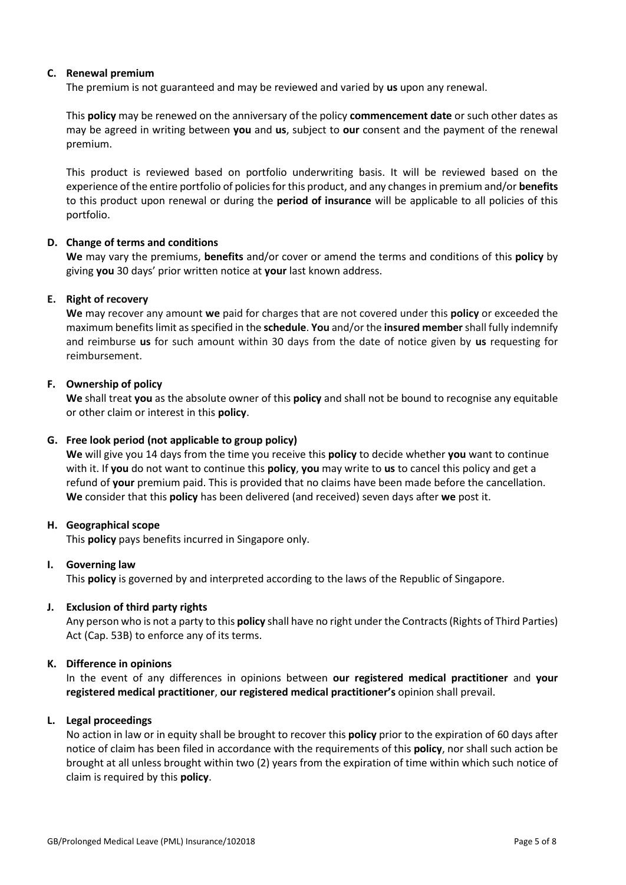# **C. Renewal premium**

The premium is not guaranteed and may be reviewed and varied by **us** upon any renewal.

This **policy** may be renewed on the anniversary of the policy **commencement date** or such other dates as may be agreed in writing between **you** and **us**, subject to **our** consent and the payment of the renewal premium.

This product is reviewed based on portfolio underwriting basis. It will be reviewed based on the experience of the entire portfolio of policies for this product, and any changes in premium and/or **benefits** to this product upon renewal or during the **period of insurance** will be applicable to all policies of this portfolio.

# **D. Change of terms and conditions**

**We** may vary the premiums, **benefits** and/or cover or amend the terms and conditions of this **policy** by giving **you** 30 days' prior written notice at **your** last known address.

# **E. Right of recovery**

**We** may recover any amount **we** paid for charges that are not covered under this **policy** or exceeded the maximum benefits limit as specified in the **schedule**. **You** and/or the **insured member**shall fully indemnify and reimburse **us** for such amount within 30 days from the date of notice given by **us** requesting for reimbursement.

# **F. Ownership of policy**

**We** shall treat **you** as the absolute owner of this **policy** and shall not be bound to recognise any equitable or other claim or interest in this **policy**.

### **G. Free look period (not applicable to group policy)**

**We** will give you 14 days from the time you receive this **policy** to decide whether **you** want to continue with it. If **you** do not want to continue this **policy**, **you** may write to **us** to cancel this policy and get a refund of **your** premium paid. This is provided that no claims have been made before the cancellation. **We** consider that this **policy** has been delivered (and received) seven days after **we** post it.

### **H. Geographical scope**

This **policy** pays benefits incurred in Singapore only.

### **I. Governing law**

This **policy** is governed by and interpreted according to the laws of the Republic of Singapore.

### **J. Exclusion of third party rights**

Any person who is not a party to this **policy** shall have no right under the Contracts (Rights of Third Parties) Act (Cap. 53B) to enforce any of its terms.

### **K. Difference in opinions**

In the event of any differences in opinions between **our registered medical practitioner** and **your registered medical practitioner**, **our registered medical practitioner's** opinion shall prevail.

### **L. Legal proceedings**

No action in law or in equity shall be brought to recover this **policy** prior to the expiration of 60 days after notice of claim has been filed in accordance with the requirements of this **policy**, nor shall such action be brought at all unless brought within two (2) years from the expiration of time within which such notice of claim is required by this **policy**.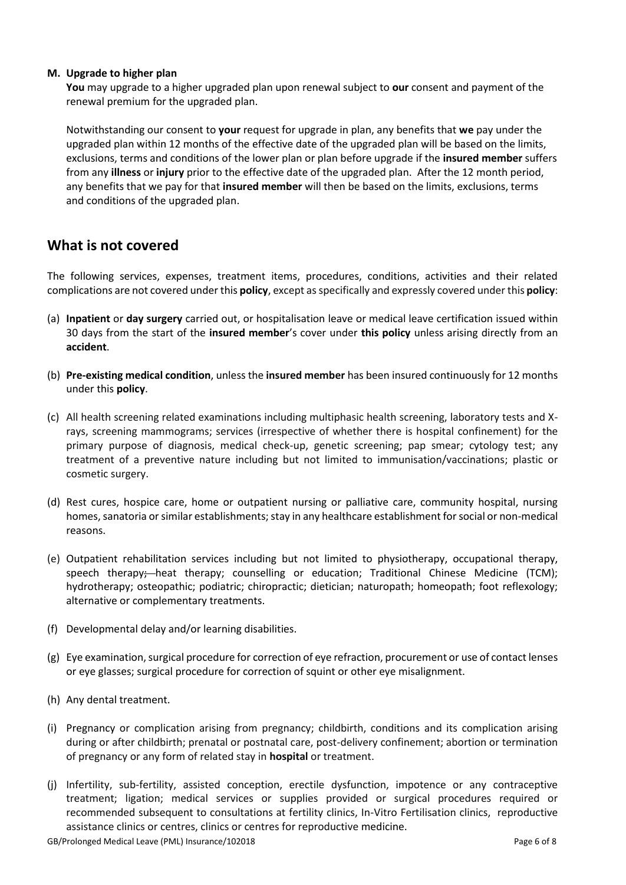### **M. Upgrade to higher plan**

**You** may upgrade to a higher upgraded plan upon renewal subject to **our** consent and payment of the renewal premium for the upgraded plan.

Notwithstanding our consent to **your** request for upgrade in plan, any benefits that **we** pay under the upgraded plan within 12 months of the effective date of the upgraded plan will be based on the limits, exclusions, terms and conditions of the lower plan or plan before upgrade if the **insured member** suffers from any **illness** or **injury** prior to the effective date of the upgraded plan. After the 12 month period, any benefits that we pay for that **insured member** will then be based on the limits, exclusions, terms and conditions of the upgraded plan.

# **What is not covered**

The following services, expenses, treatment items, procedures, conditions, activities and their related complications are not covered under this **policy**, except as specifically and expressly covered under this **policy**:

- (a) **Inpatient** or **day surgery** carried out, or hospitalisation leave or medical leave certification issued within 30 days from the start of the **insured member**'s cover under **this policy** unless arising directly from an **accident**.
- (b) **Pre-existing medical condition**, unless the **insured member** has been insured continuously for 12 months under this **policy**.
- (c) All health screening related examinations including multiphasic health screening, laboratory tests and Xrays, screening mammograms; services (irrespective of whether there is hospital confinement) for the primary purpose of diagnosis, medical check-up, genetic screening; pap smear; cytology test; any treatment of a preventive nature including but not limited to immunisation/vaccinations; plastic or cosmetic surgery.
- (d) Rest cures, hospice care, home or outpatient nursing or palliative care, community hospital, nursing homes, sanatoria or similar establishments; stay in any healthcare establishment for social or non-medical reasons.
- (e) Outpatient rehabilitation services including but not limited to physiotherapy, occupational therapy, speech therapy;-heat therapy; counselling or education; Traditional Chinese Medicine (TCM); hydrotherapy; osteopathic; podiatric; chiropractic; dietician; naturopath; homeopath; foot reflexology; alternative or complementary treatments.
- (f) Developmental delay and/or learning disabilities.
- (g) Eye examination, surgical procedure for correction of eye refraction, procurement or use of contact lenses or eye glasses; surgical procedure for correction of squint or other eye misalignment.
- (h) Any dental treatment.
- (i) Pregnancy or complication arising from pregnancy; childbirth, conditions and its complication arising during or after childbirth; prenatal or postnatal care, post-delivery confinement; abortion or termination of pregnancy or any form of related stay in **hospital** or treatment.
- (j) Infertility, sub-fertility, assisted conception, erectile dysfunction, impotence or any contraceptive treatment; ligation; medical services or supplies provided or surgical procedures required or recommended subsequent to consultations at fertility clinics, In-Vitro Fertilisation clinics, reproductive assistance clinics or centres, clinics or centres for reproductive medicine.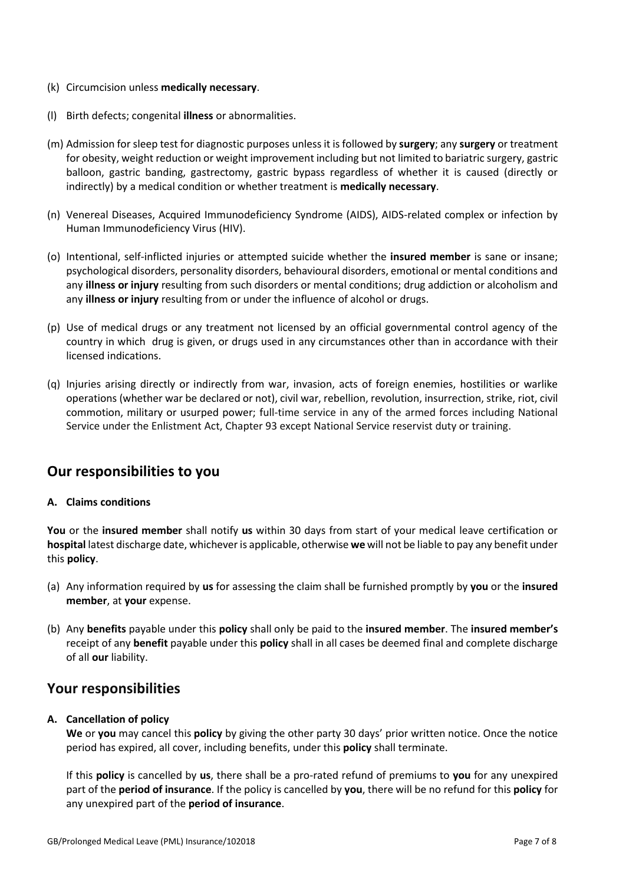- (k) Circumcision unless **medically necessary**.
- (l) Birth defects; congenital **illness** or abnormalities.
- (m) Admission for sleep test for diagnostic purposes unless it is followed by **surgery**; any **surgery** or treatment for obesity, weight reduction or weight improvement including but not limited to bariatric surgery, gastric balloon, gastric banding, gastrectomy, gastric bypass regardless of whether it is caused (directly or indirectly) by a medical condition or whether treatment is **medically necessary**.
- (n) Venereal Diseases, Acquired Immunodeficiency Syndrome (AIDS), AIDS-related complex or infection by Human Immunodeficiency Virus (HIV).
- (o) Intentional, self-inflicted injuries or attempted suicide whether the **insured member** is sane or insane; psychological disorders, personality disorders, behavioural disorders, emotional or mental conditions and any **illness or injury** resulting from such disorders or mental conditions; drug addiction or alcoholism and any **illness or injury** resulting from or under the influence of alcohol or drugs.
- (p) Use of medical drugs or any treatment not licensed by an official governmental control agency of the country in which drug is given, or drugs used in any circumstances other than in accordance with their licensed indications.
- (q) Injuries arising directly or indirectly from war, invasion, acts of foreign enemies, hostilities or warlike operations (whether war be declared or not), civil war, rebellion, revolution, insurrection, strike, riot, civil commotion, military or usurped power; full-time service in any of the armed forces including National Service under the Enlistment Act, Chapter 93 except National Service reservist duty or training.

# **Our responsibilities to you**

# **A. Claims conditions**

**You** or the **insured member** shall notify **us** within 30 days from start of your medical leave certification or **hospital** latest discharge date, whichever is applicable, otherwise **we** will not be liable to pay any benefit under this **policy**.

- (a) Any information required by **us** for assessing the claim shall be furnished promptly by **you** or the **insured member**, at **your** expense.
- (b) Any **benefits** payable under this **policy** shall only be paid to the **insured member**. The **insured member's** receipt of any **benefit** payable under this **policy** shall in all cases be deemed final and complete discharge of all **our** liability.

# **Your responsibilities**

# **A. Cancellation of policy**

**We** or **you** may cancel this **policy** by giving the other party 30 days' prior written notice. Once the notice period has expired, all cover, including benefits, under this **policy** shall terminate.

If this **policy** is cancelled by **us**, there shall be a pro-rated refund of premiums to **you** for any unexpired part of the **period of insurance**. If the policy is cancelled by **you**, there will be no refund for this **policy** for any unexpired part of the **period of insurance**.